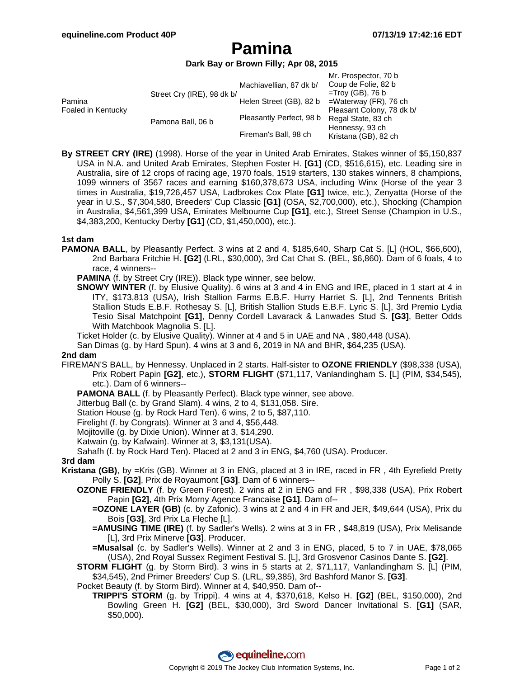## **Pamina**

#### **Dark Bay or Brown Filly; Apr 08, 2015**

|                              |                            |                          | Mr. Prospector, 70 b      |
|------------------------------|----------------------------|--------------------------|---------------------------|
|                              |                            | Machiavellian, 87 dk b/  | Coup de Folie, 82 b       |
| Pamina<br>Foaled in Kentucky | Street Cry (IRE), 98 dk b/ |                          | $=$ Troy (GB), 76 b       |
|                              |                            | Helen Street (GB), 82 b  | $=$ Waterway (FR), 76 ch  |
|                              |                            |                          | Pleasant Colony, 78 dk b/ |
|                              | Pamona Ball, 06 b          | Pleasantly Perfect, 98 b | Regal State, 83 ch        |
|                              |                            |                          | Hennessy, 93 ch           |
|                              |                            | Fireman's Ball, 98 ch    | Kristana (GB), 82 ch      |

**By STREET CRY (IRE)** (1998). Horse of the year in United Arab Emirates, Stakes winner of \$5,150,837 USA in N.A. and United Arab Emirates, Stephen Foster H. **[G1]** (CD, \$516,615), etc. Leading sire in Australia, sire of 12 crops of racing age, 1970 foals, 1519 starters, 130 stakes winners, 8 champions, 1099 winners of 3567 races and earning \$160,378,673 USA, including Winx (Horse of the year 3 times in Australia, \$19,726,457 USA, Ladbrokes Cox Plate **[G1]** twice, etc.), Zenyatta (Horse of the year in U.S., \$7,304,580, Breeders' Cup Classic **[G1]** (OSA, \$2,700,000), etc.), Shocking (Champion in Australia, \$4,561,399 USA, Emirates Melbourne Cup **[G1]**, etc.), Street Sense (Champion in U.S., \$4,383,200, Kentucky Derby **[G1]** (CD, \$1,450,000), etc.).

#### **1st dam**

- **PAMONA BALL**, by Pleasantly Perfect. 3 wins at 2 and 4, \$185,640, Sharp Cat S. [L] (HOL, \$66,600), 2nd Barbara Fritchie H. **[G2]** (LRL, \$30,000), 3rd Cat Chat S. (BEL, \$6,860). Dam of 6 foals, 4 to race, 4 winners--
	- **PAMINA** (f. by Street Cry (IRE)). Black type winner, see below.
	- **SNOWY WINTER** (f. by Elusive Quality). 6 wins at 3 and 4 in ENG and IRE, placed in 1 start at 4 in ITY, \$173,813 (USA), Irish Stallion Farms E.B.F. Hurry Harriet S. [L], 2nd Tennents British Stallion Studs E.B.F. Rothesay S. [L], British Stallion Studs E.B.F. Lyric S. [L], 3rd Premio Lydia Tesio Sisal Matchpoint **[G1]**, Denny Cordell Lavarack & Lanwades Stud S. **[G3]**, Better Odds With Matchbook Magnolia S. [L].
	- Ticket Holder (c. by Elusive Quality). Winner at 4 and 5 in UAE and NA , \$80,448 (USA).
	- San Dimas (g. by Hard Spun). 4 wins at 3 and 6, 2019 in NA and BHR, \$64,235 (USA).

#### **2nd dam**

- FIREMAN'S BALL, by Hennessy. Unplaced in 2 starts. Half-sister to **OZONE FRIENDLY** (\$98,338 (USA), Prix Robert Papin **[G2]**, etc.), **STORM FLIGHT** (\$71,117, Vanlandingham S. [L] (PIM, \$34,545), etc.). Dam of 6 winners--
	- PAMONA BALL (f. by Pleasantly Perfect). Black type winner, see above.
	- Jitterbug Ball (c. by Grand Slam). 4 wins, 2 to 4, \$131,058. Sire.
	- Station House (g. by Rock Hard Ten). 6 wins, 2 to 5, \$87,110.
	- Firelight (f. by Congrats). Winner at 3 and 4, \$56,448.
	- Mojitoville (g. by Dixie Union). Winner at 3, \$14,290.
	- Katwain (g. by Kafwain). Winner at 3, \$3,131(USA).
	- Sahafh (f. by Rock Hard Ten). Placed at 2 and 3 in ENG, \$4,760 (USA). Producer.

#### **3rd dam**

- **Kristana (GB)**, by =Kris (GB). Winner at 3 in ENG, placed at 3 in IRE, raced in FR , 4th Eyrefield Pretty Polly S. **[G2]**, Prix de Royaumont **[G3]**. Dam of 6 winners--
	- **OZONE FRIENDLY** (f. by Green Forest). 2 wins at 2 in ENG and FR , \$98,338 (USA), Prix Robert Papin **[G2]**, 4th Prix Morny Agence Francaise **[G1]**. Dam of--
		- **=OZONE LAYER (GB)** (c. by Zafonic). 3 wins at 2 and 4 in FR and JER, \$49,644 (USA), Prix du Bois **[G3]**, 3rd Prix La Fleche [L].
		- **=AMUSING TIME (IRE)** (f. by Sadler's Wells). 2 wins at 3 in FR , \$48,819 (USA), Prix Melisande [L], 3rd Prix Minerve **[G3]**. Producer.
		- **=Musalsal** (c. by Sadler's Wells). Winner at 2 and 3 in ENG, placed, 5 to 7 in UAE, \$78,065 (USA), 2nd Royal Sussex Regiment Festival S. [L], 3rd Grosvenor Casinos Dante S. **[G2]**.
	- **STORM FLIGHT** (g. by Storm Bird). 3 wins in 5 starts at 2, \$71,117, Vanlandingham S. [L] (PIM, \$34,545), 2nd Primer Breeders' Cup S. (LRL, \$9,385), 3rd Bashford Manor S. **[G3]**.
	- Pocket Beauty (f. by Storm Bird). Winner at 4, \$40,950. Dam of--
		- **TRIPPI'S STORM** (g. by Trippi). 4 wins at 4, \$370,618, Kelso H. **[G2]** (BEL, \$150,000), 2nd Bowling Green H. **[G2]** (BEL, \$30,000), 3rd Sword Dancer Invitational S. **[G1]** (SAR, \$50,000).